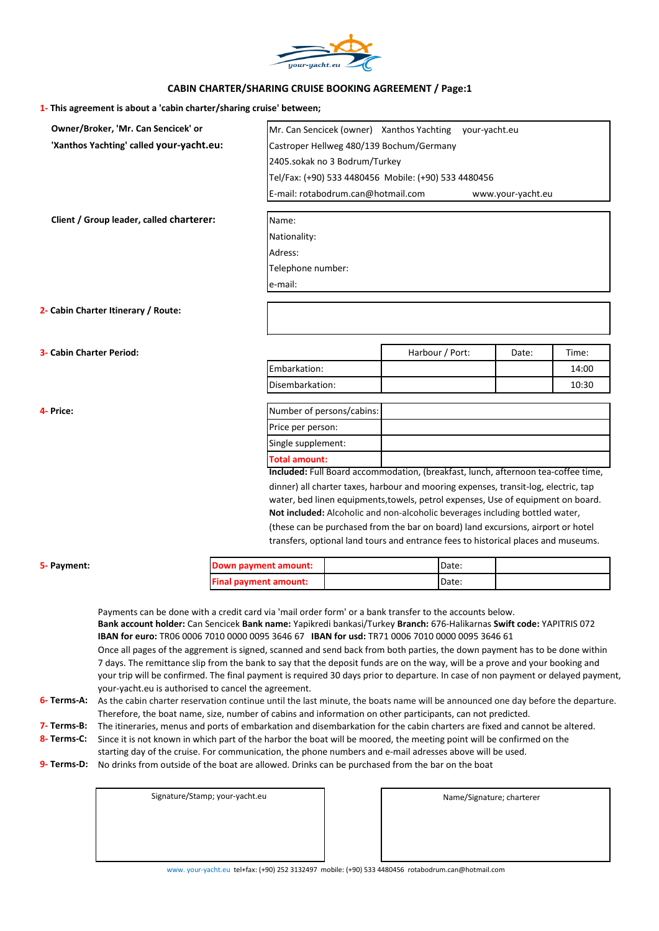

## **CABIN CHARTER/SHARING CRUISE BOOKING AGREEMENT / Page:1**

| 1- This agreement is about a 'cabin charter/sharing cruise' between; |  |  |  |
|----------------------------------------------------------------------|--|--|--|
|----------------------------------------------------------------------|--|--|--|

|                          |                                          |                              |                                    | Mr. Can Sencicek (owner) Xanthos Yachting                                                                                                                        | your-yacht.eu |                   |       |
|--------------------------|------------------------------------------|------------------------------|------------------------------------|------------------------------------------------------------------------------------------------------------------------------------------------------------------|---------------|-------------------|-------|
|                          | 'Xanthos Yachting' called your-yacht.eu: |                              |                                    | Castroper Hellweg 480/139 Bochum/Germany                                                                                                                         |               |                   |       |
|                          |                                          |                              | 2405.sokak no 3 Bodrum/Turkey      |                                                                                                                                                                  |               |                   |       |
|                          |                                          |                              |                                    | Tel/Fax: (+90) 533 4480456 Mobile: (+90) 533 4480456                                                                                                             |               |                   |       |
|                          |                                          |                              | E-mail: rotabodrum.can@hotmail.com |                                                                                                                                                                  |               | www.your-yacht.eu |       |
|                          | Client / Group leader, called charterer: | Name:                        |                                    |                                                                                                                                                                  |               |                   |       |
|                          |                                          | Nationality:                 |                                    |                                                                                                                                                                  |               |                   |       |
|                          |                                          | Adress:                      |                                    |                                                                                                                                                                  |               |                   |       |
|                          |                                          | Telephone number:            |                                    |                                                                                                                                                                  |               |                   |       |
|                          |                                          | e-mail:                      |                                    |                                                                                                                                                                  |               |                   |       |
|                          |                                          |                              |                                    |                                                                                                                                                                  |               |                   |       |
|                          | 2- Cabin Charter Itinerary / Route:      |                              |                                    |                                                                                                                                                                  |               |                   |       |
|                          |                                          |                              |                                    |                                                                                                                                                                  |               |                   |       |
| 3- Cabin Charter Period: |                                          |                              |                                    | Harbour / Port:                                                                                                                                                  |               | Date:             | Time: |
|                          |                                          | Embarkation:                 |                                    |                                                                                                                                                                  |               |                   | 14:00 |
|                          |                                          | Disembarkation:              |                                    |                                                                                                                                                                  |               |                   | 10:30 |
| 4- Price:                |                                          |                              | Number of persons/cabins:          |                                                                                                                                                                  |               |                   |       |
|                          |                                          | Price per person:            |                                    |                                                                                                                                                                  |               |                   |       |
|                          |                                          | Single supplement:           |                                    |                                                                                                                                                                  |               |                   |       |
|                          |                                          | <b>Total amount:</b>         |                                    |                                                                                                                                                                  |               |                   |       |
|                          |                                          |                              |                                    | Included: Full Board accommodation, (breakfast, lunch, afternoon tea-coffee time,                                                                                |               |                   |       |
|                          |                                          |                              |                                    | dinner) all charter taxes, harbour and mooring expenses, transit-log, electric, tap                                                                              |               |                   |       |
|                          |                                          |                              |                                    | water, bed linen equipments, towels, petrol expenses, Use of equipment on board.<br>Not included: Alcoholic and non-alcoholic beverages including bottled water, |               |                   |       |
|                          |                                          |                              |                                    | (these can be purchased from the bar on board) land excursions, airport or hotel                                                                                 |               |                   |       |
|                          |                                          |                              |                                    | transfers, optional land tours and entrance fees to historical places and museums.                                                                               |               |                   |       |
|                          |                                          | Down payment amount:         |                                    | Date:                                                                                                                                                            |               |                   |       |
| 5- Payment:              |                                          | <b>Final payment amount:</b> |                                    | Date:                                                                                                                                                            |               |                   |       |

your trip will be confirmed. The final payment is required 30 days prior to departure. In case of non payment or delayed payment, your-yacht.eu is authorised to cancel the agreement.

## **6- Terms-A:** As the cabin charter reservation continue until the last minute, the boats name will be announced one day before the departure. Therefore, the boat name, size, number of cabins and information on other participants, can not predicted.

- **7- Terms-B:** The itineraries, menus and ports of embarkation and disembarkation for the cabin charters are fixed and cannot be altered.
- **8- Terms-C:** Since it is not known in which part of the harbor the boat will be moored, the meeting point will be confirmed on the
- starting day of the cruise. For communication, the phone numbers and e-mail adresses above will be used.
- **9- Terms-D:** No drinks from outside of the boat are allowed. Drinks can be purchased from the bar on the boat

| Signature/Stamp; your-yacht.eu |
|--------------------------------|
|                                |
|                                |
|                                |

Name/Signature; charterer